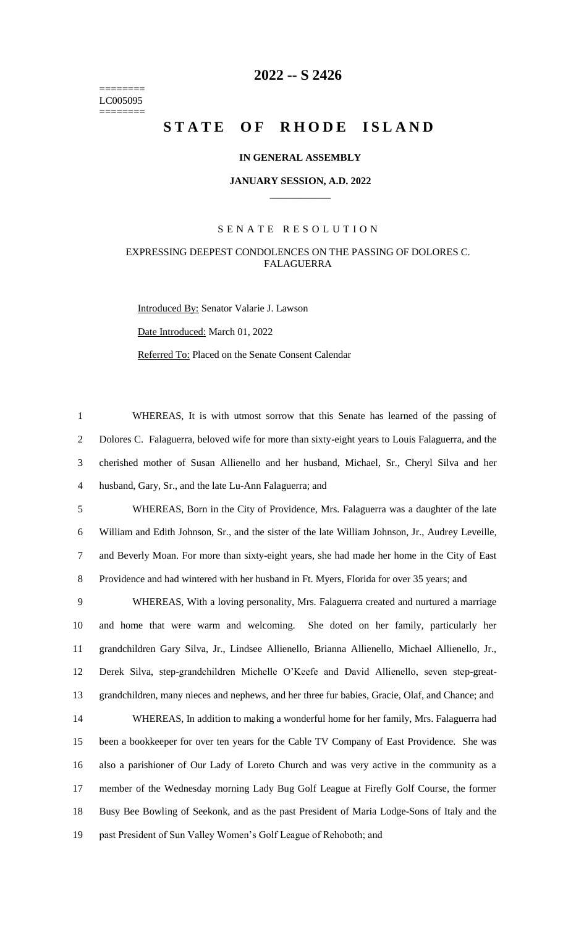======== LC005095 ========

## **-- S 2426**

# **STATE OF RHODE ISLAND**

#### **IN GENERAL ASSEMBLY**

#### **JANUARY SESSION, A.D. 2022 \_\_\_\_\_\_\_\_\_\_\_\_**

#### S E N A T E R E S O L U T I O N

### EXPRESSING DEEPEST CONDOLENCES ON THE PASSING OF DOLORES C. FALAGUERRA

Introduced By: Senator Valarie J. Lawson Date Introduced: March 01, 2022 Referred To: Placed on the Senate Consent Calendar

 WHEREAS, It is with utmost sorrow that this Senate has learned of the passing of Dolores C. Falaguerra, beloved wife for more than sixty-eight years to Louis Falaguerra, and the cherished mother of Susan Allienello and her husband, Michael, Sr., Cheryl Silva and her husband, Gary, Sr., and the late Lu-Ann Falaguerra; and

 WHEREAS, Born in the City of Providence, Mrs. Falaguerra was a daughter of the late William and Edith Johnson, Sr., and the sister of the late William Johnson, Jr., Audrey Leveille, and Beverly Moan. For more than sixty-eight years, she had made her home in the City of East Providence and had wintered with her husband in Ft. Myers, Florida for over 35 years; and

 WHEREAS, With a loving personality, Mrs. Falaguerra created and nurtured a marriage and home that were warm and welcoming. She doted on her family, particularly her grandchildren Gary Silva, Jr., Lindsee Allienello, Brianna Allienello, Michael Allienello, Jr., Derek Silva, step-grandchildren Michelle O'Keefe and David Allienello, seven step-great- grandchildren, many nieces and nephews, and her three fur babies, Gracie, Olaf, and Chance; and WHEREAS, In addition to making a wonderful home for her family, Mrs. Falaguerra had been a bookkeeper for over ten years for the Cable TV Company of East Providence. She was also a parishioner of Our Lady of Loreto Church and was very active in the community as a member of the Wednesday morning Lady Bug Golf League at Firefly Golf Course, the former Busy Bee Bowling of Seekonk, and as the past President of Maria Lodge-Sons of Italy and the past President of Sun Valley Women's Golf League of Rehoboth; and